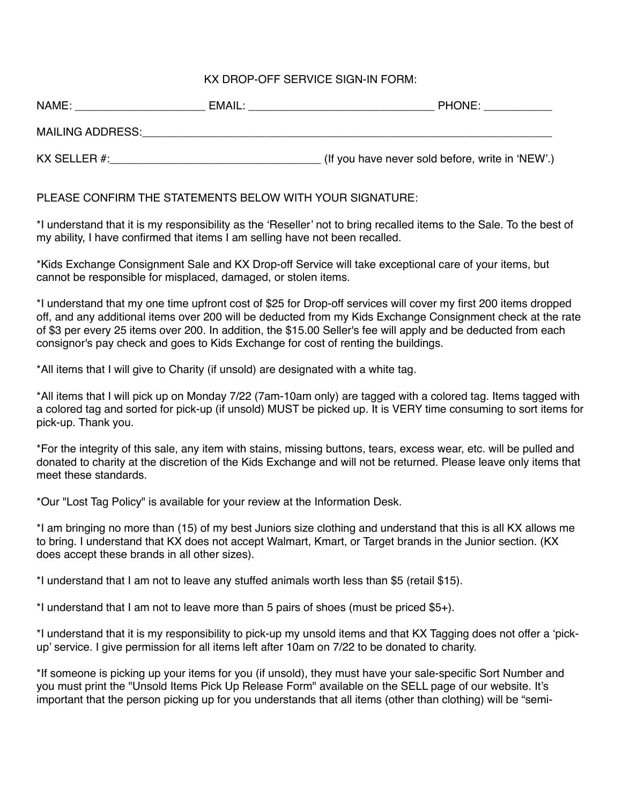## KX DROP-OFF SERVICE SIGN-IN FORM:

| NAME:                   | EMAIL: | <b>PHONE:</b>                                    |
|-------------------------|--------|--------------------------------------------------|
| <b>MAILING ADDRESS:</b> |        |                                                  |
| KX SELLER #:            |        | (If you have never sold before, write in 'NEW'.) |

PLEASE CONFIRM THE STATEMENTS BELOW WITH YOUR SIGNATURE:

\*I understand that it is my responsibility as the 'Reseller' not to bring recalled items to the Sale. To the best of my ability, I have confirmed that items I am selling have not been recalled.

\*Kids Exchange Consignment Sale and KX Drop-off Service will take exceptional care of your items, but cannot be responsible for misplaced, damaged, or stolen items.

\*I understand that my one time upfront cost of \$25 for Drop-off services will cover my first 200 items dropped off, and any additional items over 200 will be deducted from my Kids Exchange Consignment check at the rate of \$3 per every 25 items over 200. In addition, the \$15.00 Seller's fee will apply and be deducted from each consignor's pay check and goes to Kids Exchange for cost of renting the buildings.

\*All items that I will give to Charity (if unsold) are designated with a white tag.

\*All items that I will pick up on Monday 7/22 (7am-10am only) are tagged with a colored tag. Items tagged with a colored tag and sorted for pick-up (if unsold) MUST be picked up. It is VERY time consuming to sort items for pick-up. Thank you.

\*For the integrity of this sale, any item with stains, missing buttons, tears, excess wear, etc. will be pulled and donated to charity at the discretion of the Kids Exchange and will not be returned. Please leave only items that meet these standards.

\*Our "Lost Tag Policy" is available for your review at the Information Desk.

\*I am bringing no more than (15) of my best Juniors size clothing and understand that this is all KX allows me to bring. I understand that KX does not accept Walmart, Kmart, or Target brands in the Junior section. (KX does accept these brands in all other sizes).

\*I understand that I am not to leave any stuffed animals worth less than \$5 (retail \$15).

\*I understand that I am not to leave more than 5 pairs of shoes (must be priced \$5+).

\*I understand that it is my responsibility to pick-up my unsold items and that KX Tagging does not offer a 'pickup' service. I give permission for all items left after 10am on 7/22 to be donated to charity.

\*If someone is picking up your items for you (if unsold), they must have your sale-specific Sort Number and you must print the "Unsold Items Pick Up Release Form" available on the SELL page of our website. It's important that the person picking up for you understands that all items (other than clothing) will be "semi